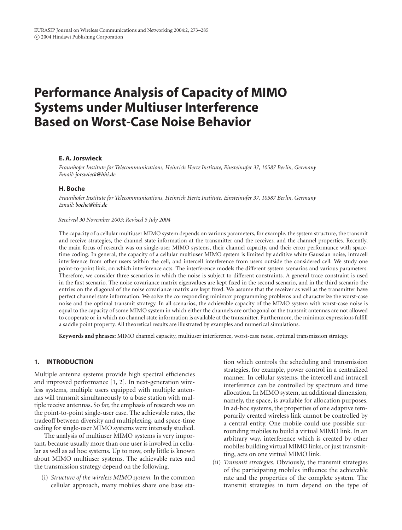# **Performance Analysis of Capacity of MIMO Systems under Multiuser Interference Based on Worst-Case Noise Behavior**

# **E. A. Jorswieck**

*Fraunhofer Institute for Telecommunications, Heinrich Hertz Institute, Einsteinufer 37, 10587 Berlin, Germany Email: [jorswieck@hhi.de](mailto:jorswieck@hhi.de)*

## **H. Boche**

*Fraunhofer Institute for Telecommunications, Heinrich Hertz Institute, Einsteinufer 37, 10587 Berlin, Germany Email: [boche@hhi.de](mailto:boche@hhi.de)*

#### *Received 30 November 2003; Revised 5 July 2004*

The capacity of a cellular multiuser MIMO system depends on various parameters, for example, the system structure, the transmit and receive strategies, the channel state information at the transmitter and the receiver, and the channel properties. Recently, the main focus of research was on single-user MIMO systems, their channel capacity, and their error performance with spacetime coding. In general, the capacity of a cellular multiuser MIMO system is limited by additive white Gaussian noise, intracell interference from other users within the cell, and intercell interference from users outside the considered cell. We study one point-to-point link, on which interference acts. The interference models the different system scenarios and various parameters. Therefore, we consider three scenarios in which the noise is subject to different constraints. A general trace constraint is used in the first scenario. The noise covariance matrix eigenvalues are kept fixed in the second scenario, and in the third scenario the entries on the diagonal of the noise covariance matrix are kept fixed. We assume that the receiver as well as the transmitter have perfect channel state information. We solve the corresponding minimax programming problems and characterize the worst-case noise and the optimal transmit strategy. In all scenarios, the achievable capacity of the MIMO system with worst-case noise is equal to the capacity of some MIMO system in which either the channels are orthogonal or the transmit antennas are not allowed to cooperate or in which no channel state information is available at the transmitter. Furthermore, the minimax expressions fulfill a saddle point property. All theoretical results are illustrated by examples and numerical simulations.

**Keywords and phrases:** MIMO channel capacity, multiuser interference, worst-case noise, optimal transmission strategy.

# **1. INTRODUCTION**

Multiple antenna systems provide high spectral efficiencies and improved performance [\[1,](#page-11-0) [2\]](#page-11-1). In next-generation wireless systems, multiple users equipped with multiple antennas will transmit simultaneously to a base station with multiple receive antennas. So far, the emphasis of research was on the point-to-point single-user case. The achievable rates, the tradeoff between diversity and multiplexing, and space-time coding for single-user MIMO systems were intensely studied.

The analysis of multiuser MIMO systems is very important, because usually more than one user is involved in cellular as well as ad hoc systems. Up to now, only little is known about MIMO multiuser systems. The achievable rates and the transmission strategy depend on the following.

(i) *Structure of the wireless MIMO system.* In the common cellular approach, many mobiles share one base station which controls the scheduling and transmission strategies, for example, power control in a centralized manner. In cellular systems, the intercell and intracell interference can be controlled by spectrum and time allocation. In MIMO system, an additional dimension, namely, the space, is available for allocation purposes. In ad-hoc systems, the properties of one adaptive temporarily created wireless link cannot be controlled by a central entity. One mobile could use possible surrounding mobiles to build a virtual MIMO link. In an arbitrary way, interference which is created by other mobiles building virtual MIMO links, or just transmitting, acts on one virtual MIMO link.

(ii) *Transmit strategies.* Obviously, the transmit strategies of the participating mobiles influence the achievable rate and the properties of the complete system. The transmit strategies in turn depend on the type of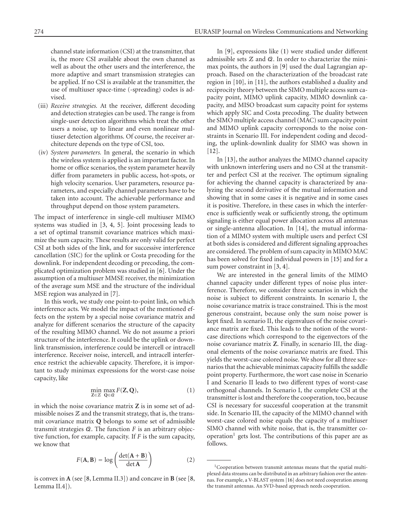channel state information (CSI) at the transmitter, that is, the more CSI available about the own channel as well as about the other users and the interference, the more adaptive and smart transmission strategies can be applied. If no CSI is available at the transmitter, the use of multiuser space-time (-spreading) codes is advised.

- (iii) *Receive strategies.* At the receiver, different decoding and detection strategies can be used. The range is from single-user detection algorithms which treat the other users a noise, up to linear and even nonlinear multiuser detection algorithms. Of course, the receiver architecture depends on the type of CSI, too.
- (iv) *System parameters.* In general, the scenario in which the wireless system is applied is an important factor. In home or office scenarios, the system parameter heavily differ from parameters in public access, hot-spots, or high velocity scenarios. User parameters, resource parameters, and especially channel parameters have to be taken into account. The achievable performance and throughput depend on those system parameters.

The impact of interference in single-cell multiuser MIMO systems was studied in [\[3,](#page-11-2) [4,](#page-11-3) [5\]](#page-11-4). Joint processing leads to a set of optimal transmit covariance matrices which maximize the sum capacity. These results are only valid for perfect CSI at both sides of the link, and for successive interference cancellation (SIC) for the uplink or Costa precoding for the downlink. For independent decoding or precoding, the complicated optimization problem was studied in [\[6](#page-11-5)]. Under the assumption of a multiuser MMSE receiver, the minimization of the average sum MSE and the structure of the individual MSE region was analyzed in [\[7\]](#page-11-6).

In this work, we study one point-to-point link, on which interference acts. We model the impact of the mentioned effects on the system by a special noise covariance matrix and analyze for different scenarios the structure of the capacity of the resulting MIMO channel. We do not assume a priori structure of the interference. It could be the uplink or downlink transmission, interference could be intercell or intracell interference. Receiver noise, intercell, and intracell interference restrict the achievable capacity. Therefore, it is important to study minimax expressions for the worst-case noise capacity, like

$$
\min_{Z \in \mathcal{Z}} \max_{Q \in \mathcal{Q}} F(Z, Q),\tag{1}
$$

<span id="page-1-0"></span>in which the noise covariance matrix **Z** is in some set of admissible noises  $Z$  and the transmit strategy, that is, the transmit covariance matrix **Q** belongs to some set of admissible transmit strategies Q. The function *F* is an arbitrary objective function, for example, capacity. If *F* is the sum capacity, we know that

$$
F(\mathbf{A}, \mathbf{B}) = \log \left( \frac{\det(\mathbf{A} + \mathbf{B})}{\det \mathbf{A}} \right)
$$
 (2)

is convex in **A** (see [\[8,](#page-11-7) Lemma II.3]) and concave in **B** (see [\[8,](#page-11-7) Lemma II.4]).

In [\[9](#page-11-8)], expressions like [\(1\)](#page-1-0) were studied under different admissible sets  $Z$  and  $Q$ . In order to characterize the minimax points, the authors in [\[9](#page-11-8)] used the dual Lagrangian approach. Based on the characterization of the broadcast rate region in [\[10](#page-11-9)], in [\[11\]](#page-11-10), the authors established a duality and reciprocity theory between the SIMO multiple access sum capacity point, MIMO uplink capacity, MIMO downlink capacity, and MISO broadcast sum capacity point for systems which apply SIC and Costa precoding. The duality between the SIMO multiple access channel (MAC) sum capacity point and MIMO uplink capacity corresponds to the noise constraints in Scenario III. For independent coding and decoding, the uplink-downlink duality for SIMO was shown in [\[12](#page-11-11)].

In [\[13](#page-12-0)], the author analyzes the MIMO channel capacity with unknown interfering users and no CSI at the transmitter and perfect CSI at the receiver. The optimum signaling for achieving the channel capacity is characterized by analyzing the second derivative of the mutual information and showing that in some cases it is negative and in some cases it is positive. Therefore, in these cases in which the interference is sufficiently weak or sufficiently strong, the optimum signaling is either equal power allocation across all antennas or single-antenna allocation. In [\[14\]](#page-12-1), the mutual information of a MIMO system with multiple users and perfect CSI at both sides is considered and different signaling approaches are considered. The problem of sum capacity in MIMO MAC has been solved for fixed individual powers in [\[15](#page-12-2)] and for a sum power constraint in [\[3](#page-11-2), [4\]](#page-11-3).

We are interested in the general limits of the MIMO channel capacity under different types of noise plus interference. Therefore, we consider three scenarios in which the noise is subject to different constraints. In scenario I, the noise covariance matrix is trace constrained. This is the most generous constraint, because only the sum noise power is kept fixed. In scenario II, the eigenvalues of the noise covariance matrix are fixed. This leads to the notion of the worstcase directions which correspond to the eigenvectors of the noise covariance matrix **Z**. Finally, in scenario III, the diagonal elements of the noise covariance matrix are fixed. This yields the worst-case colored noise. We show for all three scenarios that the achievable minimax capacity fulfills the saddle point property. Furthermore, the wort case noise in Scenario I and Scenario II leads to two different types of worst-case orthogonal channels. In Scenario I, the complete CSI at the transmitter is lost and therefore the cooperation, too, because CSI is necessary for successful cooperation at the transmit side. In Scenario III, the capacity of the MIMO channel with worst-case colored noise equals the capacity of a multiuser SIMO channel with white noise, that is, the transmitter cooperation<sup>1</sup> gets lost. The contributions of this paper are as follows.

<sup>&</sup>lt;sup>1</sup>Cooperation between transmit antennas means that the spatial multiplexed data streams can be distributed in an arbitrary fashion over the antennas. For example, a V-BLAST system [\[16\]](#page-12-3) does not need cooperation among the transmit antennas. An SVD-based approach needs cooperation.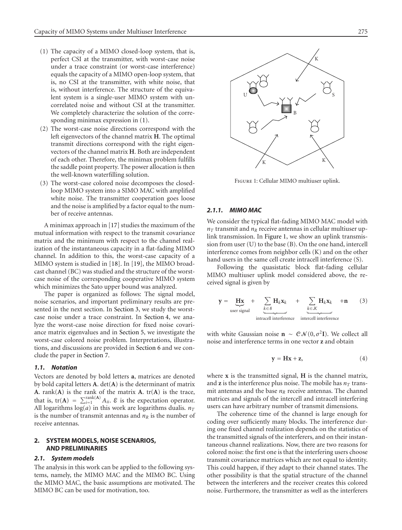- (1) The capacity of a MIMO closed-loop system, that is, perfect CSI at the transmitter, with worst-case noise under a trace constraint (or worst-case interference) equals the capacity of a MIMO open-loop system, that is, no CSI at the transmitter, with white noise, that is, without interference. The structure of the equivalent system is a single-user MIMO system with uncorrelated noise and without CSI at the transmitter. We completely characterize the solution of the corresponding minimax expression in [\(1\)](#page-1-0).
- (2) The worst-case noise directions correspond with the left eigenvectors of the channel matrix **H**. The optimal transmit directions correspond with the right eigenvectors of the channel matrix **H**. Both are independent of each other. Therefore, the minimax problem fulfills the saddle point property. The power allocation is then the well-known waterfilling solution.
- (3) The worst-case colored noise decomposes the closedloop MIMO system into a SIMO MAC with amplified white noise. The transmitter cooperation goes loose and the noise is amplified by a factor equal to the number of receive antennas.

A minimax approach in [\[17](#page-12-4)] studies the maximum of the mutual information with respect to the transmit covariance matrix and the minimum with respect to the channel realization of the instantaneous capacity in a flat-fading MIMO channel. In addition to this, the worst-case capacity of a MIMO system is studied in [\[18](#page-12-5)]. In [\[19](#page-12-6)], the MIMO broadcast channel (BC) was studied and the structure of the worstcase noise of the corresponding cooperative MIMO system which minimizes the Sato upper bound was analyzed.

The paper is organized as follows: The signal model, noise scenarios, and important preliminary results are presented in the next section. In [Section 3,](#page-4-0) we study the worstcase noise under a trace constraint. In [Section 4,](#page-5-0) we analyze the worst-case noise direction for fixed noise covariance matrix eigenvalues and in [Section 5,](#page-7-0) we investigate the worst-case colored noise problem. Interpretations, illustrations, and discussions are provided in [Section 6](#page-9-0) and we conclude the paper in [Section 7.](#page-10-0)

#### *1.1. Notation*

Vectors are denoted by bold letters **a**, matrices are denoted by bold capital letters **A**. det(**A**) is the determinant of matrix **A**. rank(**A**) is the rank of the matrix **A**. tr(**A**) is the trace, that is,  $tr(A) = \sum_{i=1}^{\text{rank}(A)} A_{ii}$ .  $\varepsilon$  is the expectation operator. All logarithms  $log(a)$  in this work are logarithms dualis.  $n_T$ is the number of transmit antennas and  $n<sub>R</sub>$  is the number of receive antennas.

# **2. SYSTEM MODELS, NOISE SCENARIOS, AND PRELIMINARIES**

#### *2.1. System models*

The analysis in this work can be applied to the following systems, namely, the MIMO MAC and the MIMO BC. Using the MIMO MAC, the basic assumptions are motivated. The MIMO BC can be used for motivation, too.



<span id="page-2-0"></span>Figure 1: Cellular MIMO multiuser uplink.

#### *2.1.1. MIMO MAC*

We consider the typical flat-fading MIMO MAC model with  $n_T$  transmit and  $n_R$  receive antennas in cellular multiuser uplink transmission. In [Figure 1,](#page-2-0) we show an uplink transmission from user (U) to the base (B). On the one hand, intercell interference comes from neighbor cells (K) and on the other hand users in the same cell create intracell interference (S).

Following the quasistatic block flat-fading cellular MIMO multiuser uplink model considered above, the received signal is given by

$$
\mathbf{y} = \underbrace{\mathbf{H}\mathbf{x}}_{\text{user signal}} + \underbrace{\sum_{k \in \mathcal{S}} \mathbf{H}_k \mathbf{x}_k}_{\text{intractel interference}} + \underbrace{\sum_{k \in \mathcal{K}} \mathbf{H}_k \mathbf{x}_k}_{\text{intercell interference}} + \mathbf{n} \qquad (3)
$$

with white Gaussian noise **n** ∼  $\mathcal{CN}(0, \sigma^2 I)$ . We collect all noise and interference terms in one vector **z** and obtain

<span id="page-2-1"></span>
$$
y = Hx + z, \tag{4}
$$

where **x** is the transmitted signal, **H** is the channel matrix, and  $z$  is the interference plus noise. The mobile has  $n<sub>T</sub>$  transmit antennas and the base  $n_R$  receive antennas. The channel matrices and signals of the intercell and intracell interfering users can have arbitrary number of transmit dimensions.

The coherence time of the channel is large enough for coding over sufficiently many blocks. The interference during one fixed channel realization depends on the statistics of the transmitted signals of the interferers, and on their instantaneous channel realizations. Now, there are two reasons for colored noise: the first one is that the interfering users choose transmit covariance matrices which are not equal to identity. This could happen, if they adapt to their channel states. The other possibility is that the spatial structure of the channel between the interferers and the receiver creates this colored noise. Furthermore, the transmitter as well as the interferers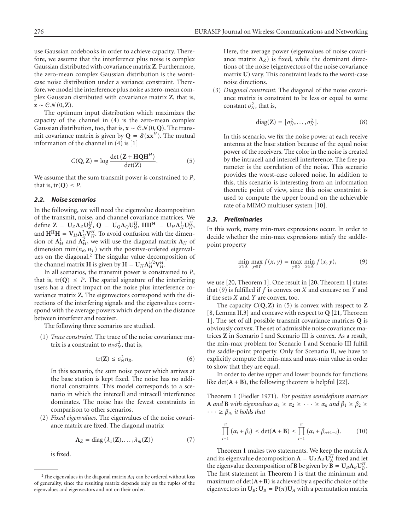use Gaussian codebooks in order to achieve capacity. Therefore, we assume that the interference plus noise is complex Gaussian distributed with covariance matrix **Z**. Furthermore, the zero-mean complex Gaussian distribution is the worstcase noise distribution under a variance constraint. Therefore, we model the interference plus noise as zero-mean complex Gaussian distributed with covariance matrix **Z**, that is,  $\mathbf{z} \sim \mathcal{C} \mathcal{N}(0, \mathbf{Z}).$ 

The optimum input distribution which maximizes the capacity of the channel in [\(4\)](#page-2-1) is the zero-mean complex Gaussian distribution, too, that is,  $\mathbf{x} \sim \mathcal{CN}(0, \mathbf{Q})$ . The transmit covariance matrix is given by  $Q = \mathcal{E}(\mathbf{x} \mathbf{x}^H)$ . The mutual information of the channel in [\(4\)](#page-2-1) is [\[1\]](#page-11-0)

<span id="page-3-1"></span>
$$
C(\mathbf{Q}, \mathbf{Z}) = \log \frac{\det (\mathbf{Z} + \mathbf{H}\mathbf{Q}\mathbf{H}^H)}{\det(\mathbf{Z})}.
$$
 (5)

We assume that the sum transmit power is constrained to *P*, that is,  $tr(Q) \leq P$ .

## *2.2. Noise scenarios*

In the following, we will need the eigenvalue decomposition of the transmit, noise, and channel covariance matrices. We define  $\mathbf{Z} = \mathbf{U}_Z \mathbf{\Lambda}_Z \mathbf{U}_Z^H$ ,  $\mathbf{Q} = \mathbf{U}_Q \mathbf{\Lambda}_Q \mathbf{U}_Q^H$ ,  $\mathbf{H} \mathbf{H}^H = \mathbf{U}_H \mathbf{\Lambda}_H^1 \mathbf{U}_H^H$ , and  $H^H H = V_H \Lambda_H^2 \overline{V_H^H}$ . To avoid confusion with the dimension of  $\Lambda_H^1$  and  $\Lambda_H^2$ , we will use the diagonal matrix  $\Lambda_H$  of dimension  $min(n_R, n_T)$  with the positive-ordered eigenvalues on the diagonal.2 The singular value decomposition of the channel matrix **H** is given by  $\mathbf{H} = \mathbf{U}_H \mathbf{\Lambda}_H^{1/2} \mathbf{V}_H^H$ .

In all scenarios, the transmit power is constrained to *P*, that is,  $tr(Q) \leq P$ . The spatial signature of the interfering users has a direct impact on the noise plus interference covariance matrix **Z**. The eigenvectors correspond with the directions of the interfering signals and the eigenvalues correspond with the average powers which depend on the distance between interferer and receiver.

The following three scenarios are studied.

(1) *Trace constraint*. The trace of the noise covariance matrix is a constraint to  $n_R \sigma_N^2$ , that is,

$$
tr(\mathbf{Z}) \le \sigma_N^2 n_R. \tag{6}
$$

In this scenario, the sum noise power which arrives at the base station is kept fixed. The noise has no additional constraints. This model corresponds to a scenario in which the intercell and intracell interference dominates. The noise has the fewest constraints in comparison to other scenarios.

(2) *Fixed eigenvalues*. The eigenvalues of the noise covariance matrix are fixed. The diagonal matrix

$$
\Lambda_Z = \text{diag}(\lambda_1(\mathbf{Z}), \dots, \lambda_m(\mathbf{Z})) \tag{7}
$$

is fixed.

Here, the average power (eigenvalues of noise covariance matrix  $\Lambda_Z$ ) is fixed, while the dominant directions of the noise (eigenvectors of the noise covariance matrix **U**) vary. This constraint leads to the worst-case noise directions.

(3) *Diagonal constraint*. The diagonal of the noise covariance matrix is constraint to be less or equal to some constant  $\sigma_N^2$ , that is,

$$
diag(\mathbf{Z}) = [\sigma_N^2, \dots, \sigma_N^2].
$$
 (8)

In this scenario, we fix the noise power at each receive antenna at the base station because of the equal noise power of the receivers. The color in the noise is created by the intracell and intercell interference. The free parameter is the correlation of the noise. This scenario provides the worst-case colored noise. In addition to this, this scenario is interesting from an information theoretic point of view, since this noise constraint is used to compute the upper bound on the achievable rate of a MIMO multiuser system [\[10](#page-11-9)].

# *2.3. Preliminaries*

<span id="page-3-0"></span>In this work, many min-max expressions occur. In order to decide whether the min-max expressions satisfy the saddlepoint property

$$
\min_{x \in X} \max_{y \in Y} f(x, y) = \max_{y \in Y} \min_{x \in X} f(x, y),
$$
\n(9)

we use [\[20](#page-12-7), Theorem 1]. One result in [\[20,](#page-12-7) Theorem 1] states that [\(9\)](#page-3-0) is fulfilled if *f* is convex on *X* and concave on *Y* and if the sets *X* and *Y* are convex, too.

The capacity  $C(Q, Z)$  in [\(5\)](#page-3-1) is convex with respect to  $Z$ [\[8](#page-11-7), Lemma II.3] and concave with respect to **Q** [\[21,](#page-12-8) Theorem 1]. The set of all possible transmit covariance matrices **Q** is obviously convex. The set of admissible noise covariance matrices **Z** in Scenario I and Scenario III is convex. As a result, the min-max problem for Scenario I and Scenario III fulfill the saddle-point property. Only for Scenario II, we have to explicitly compute the min-max and max-min value in order to show that they are equal.

<span id="page-3-2"></span>In order to derive upper and lower bounds for functions like det( $A + B$ ), the following theorem is helpful [\[22\]](#page-12-9).

Theorem 1 (Fiedler 1971). *For positive semidefinite matrices* **A** *and* **B** *with eigenvalues*  $\alpha_1 \geq \alpha_2 \geq \cdots \geq \alpha_n$  *and*  $\beta_1 \geq \beta_2 \geq$  $\cdots \geq \beta_n$ *, it holds that* 

$$
\prod_{i=1}^{n} (\alpha_i + \beta_i) \leq \det(\mathbf{A} + \mathbf{B}) \leq \prod_{i=1}^{n} (\alpha_i + \beta_{n+1-i}).
$$
 (10)

[Theorem 1](#page-3-2) makes two statements. We keep the matrix **A** and its eigenvalue decomposition  $\mathbf{A} = \mathbf{U}_A \mathbf{\Lambda}_A \mathbf{U}_A^H$  fixed and let the eigenvalue decomposition of **B** be given by  $\mathbf{B} = \mathbf{U}_B \mathbf{\Lambda}_B \mathbf{U}_B^H$ . The first statement in [Theorem 1](#page-3-2) is that the minimum and maximum of  $det(A + B)$  is achieved by a specific choice of the eigenvectors in  $U_B$ :  $U_B = P(\pi)U_A$  with a permutation matrix

<sup>&</sup>lt;sup>2</sup>The eigenvalues in the diagonal matrix  $\Lambda_H$  can be ordered without loss of generality, since the resulting matrix depends only on the tuples of the eigenvalues and eigenvectors and not on their order.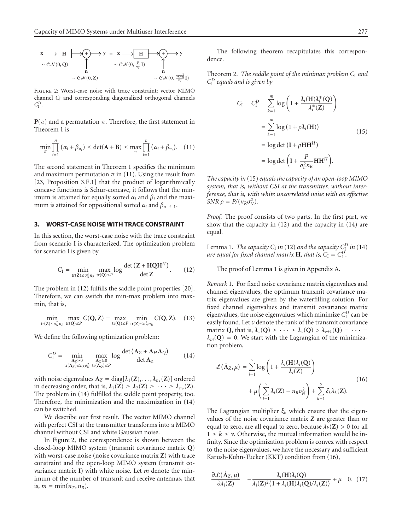

<span id="page-4-4"></span>Figure 2: Worst-case noise with trace constraint: vector MIMO channel *C*<sub>I</sub> and corresponding diagonalized orthogonal channels  $C^D_{\text{I}}$ .

<span id="page-4-1"></span>**P**( $π$ ) and a permutation  $π$ . Therefore, the first statement in [Theorem 1](#page-3-2) is

$$
\min_{\pi} \prod_{i=1}^{n} (\alpha_i + \beta_{\pi_i}) \leq \det(\mathbf{A} + \mathbf{B}) \leq \max_{\pi} \prod_{i=1}^{n} (\alpha_i + \beta_{\pi_i}). \quad (11)
$$

The second statement in [Theorem 1](#page-3-2) specifies the minimum and maximum permutation  $\pi$  in [\(11\)](#page-4-1). Using the result from [\[23](#page-12-10), Proposition 3.E.1] that the product of logarithmically concave functions is Schur-concave, it follows that the minimum is attained for equally sorted  $α<sub>i</sub>$  and  $β<sub>i</sub>$  and the maximum is attained for oppositional sorted  $\alpha_i$  and  $\beta_{n-i+1}$ .

# <span id="page-4-0"></span>**3. WORST-CASE NOISE WITH TRACE CONSTRAINT**

<span id="page-4-2"></span>In this section, the worst-case noise with the trace constraint from scenario I is characterized. The optimization problem for scenario I is given by

$$
C_{\rm I} = \min_{\text{tr}(\mathbf{Z}) \le \sigma_N^2 n_R} \max_{\text{tr}(\mathbf{Q}) \le P} \log \frac{\det (\mathbf{Z} + \mathbf{H} \mathbf{Q} \mathbf{H}^H)}{\det \mathbf{Z}}.
$$
 (12)

The problem in [\(12\)](#page-4-2) fulfills the saddle point properties [\[20\]](#page-12-7). Therefore, we can switch the min-max problem into maxmin, that is,

$$
\min_{\text{tr}(\mathbf{Z}) \le \sigma_N^2 n_R} \max_{\text{tr}(\mathbf{Q}) \le P} C(\mathbf{Q}, \mathbf{Z}) = \max_{\text{tr}(\mathbf{Q}) \le P} \min_{\text{tr}(\mathbf{Z}) \le \sigma_N^2 n_R} C(\mathbf{Q}, \mathbf{Z}). \quad (13)
$$

We define the following optimization problem:

<span id="page-4-3"></span>
$$
C_1^D = \min_{\substack{\Lambda_Z > 0 \\ \text{tr}(\Lambda_Z) \le n_R \sigma_N^2 \ \text{tr}(\Lambda_Q) \le P}} \max_{\substack{\Lambda_Q \ge 0 \\ \text{det } \Lambda_Z}} \log \frac{\det (\Lambda_Z + \Lambda_H \Lambda_Q)}{\det \Lambda_Z} \tag{14}
$$

with noise eigenvalues  $\Lambda_Z = \text{diag}[\lambda_1(\mathbf{Z}), \dots, \lambda_{n_R}(\mathbf{Z})]$  ordered in decreasing order, that is,  $\lambda_1(Z) \geq \lambda_2(Z) \geq \cdots \geq \lambda_{n_R}(Z)$ . The problem in [\(14\)](#page-4-3) fulfilled the saddle point property, too. Therefore, the minimization and the maximization in [\(14\)](#page-4-3) can be switched.

We describe our first result. The vector MIMO channel with perfect CSI at the transmitter transforms into a MIMO channel without CSI and white Gaussian noise.

In [Figure 2,](#page-4-4) the correspondence is shown between the closed-loop MIMO system (transmit covariance matrix **Q**) with worst-case noise (noise covariance matrix **Z**) with trace constraint and the open-loop MIMO system (transmit covariance matrix **I**) with white noise. Let *m* denote the minimum of the number of transmit and receive antennas, that is,  $m = \min(n_T, n_R)$ .

The following theorem recapitulates this correspondence.

Theorem 2. *The saddle point of the minimax problem C*<sup>I</sup> *and CD* <sup>I</sup> *equals and is given by*

<span id="page-4-5"></span>
$$
C_{I} = C_{I}^{D} = \sum_{k=1}^{m} \log \left( 1 + \frac{\lambda_{i}(\mathbf{H})\lambda_{i}^{*}(\mathbf{Q})}{\lambda_{i}^{*}(\mathbf{Z})} \right)
$$
  
= 
$$
\sum_{k=1}^{m} \log \left( 1 + \rho \lambda_{i}(\mathbf{H}) \right)
$$
  
= 
$$
\log \det \left( \mathbf{I} + \rho \mathbf{H} \mathbf{H}^{H} \right)
$$
  
= 
$$
\log \det \left( \mathbf{I} + \frac{P}{\sigma_{n}^{2}n_{R}} \mathbf{H} \mathbf{H}^{H} \right).
$$
 (15)

*The capacity in* [\(15\)](#page-4-5)*equals the capacity of an open-loop MIMO system, that is, without CSI at the transmitter, without interference, that is, with white uncorrelated noise with an effective*  $SNR \rho = P/(n_R \sigma_N^2)$ .

*Proof.* The proof consists of two parts. In the first part, we show that the capacity in [\(12\)](#page-4-2) and the capacity in [\(14\)](#page-4-3) are equal.

<span id="page-4-6"></span>Lemma 1. *The capacity*  $C_I$  *in* [\(12\)](#page-4-2) *and the capacity*  $C_I^D$  *in* [\(14\)](#page-4-3) *are equal for fixed channel matrix* **H***, that is*,  $C_I = C_I^D$ .

The proof of [Lemma 1](#page-4-6) is given in [Appendix A.](#page-10-1)

*Remark* 1. For fixed noise covariance matrix eigenvalues and channel eigenvalues, the optimum transmit covariance matrix eigenvalues are given by the waterfilling solution. For fixed channel eigenvalues and transmit covariance matrix eigenvalues, the noise eigenvalues which minimize *C*<sup>*D*</sup> can be easily found. Let *ν* denote the rank of the transmit covariance matrix **Q**, that is,  $\lambda_1(\mathbf{Q}) \geq \cdots \geq \lambda_{\nu}(\mathbf{Q}) > \lambda_{\nu+1}(\mathbf{Q}) = \cdots =$  $\lambda_m(Q) = 0$ . We start with the Lagrangian of the minimization problem,

<span id="page-4-7"></span>
$$
\mathcal{L}(\hat{\Lambda}_Z, \mu) = \sum_{i=1}^{\nu} \log \left( 1 + \frac{\lambda_i(\mathbf{H}) \lambda_i(\mathbf{Q})}{\lambda_i(\mathbf{Z})} \right) + \mu \left( \sum_{l=1}^{\nu} \lambda_l(\mathbf{Z}) - n_R \sigma_N^2 \right) + \sum_{k=1}^{\nu} \xi_k \lambda_k(\mathbf{Z}).
$$
\n(16)

The Lagrangian multiplier  $\xi_k$  which ensure that the eigenvalues of the noise covariance matrix **Z** are greater than or equal to zero, are all equal to zero, because  $\lambda_k(\mathbf{Z}) > 0$  for all  $1 \leq k \leq \nu$ . Otherwise, the mutual information would be infinity. Since the optimization problem is convex with respect to the noise eigenvalues, we have the necessary and sufficient Karush-Kuhn-Tucker (KKT) condition from [\(16\)](#page-4-7),

<span id="page-4-8"></span>
$$
\frac{\partial \mathcal{L}(\hat{\Lambda}_Z, \mu)}{\partial \lambda_i(\mathbf{Z})} = -\frac{\lambda_i(\mathbf{H})\lambda_i(\mathbf{Q})}{\lambda_i(\mathbf{Z})^2(1 + \lambda_i(\mathbf{H})\lambda_i(\mathbf{Q})/\lambda_i(\mathbf{Z}))} + \mu = 0. \quad (17)
$$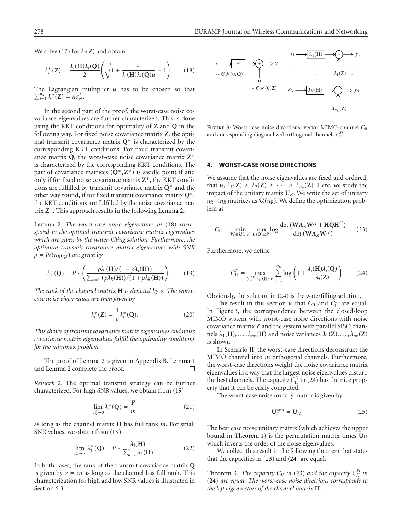We solve [\(17\)](#page-4-8) for  $\lambda_i(\mathbf{Z})$  and obtain

<span id="page-5-2"></span>
$$
\lambda_i^*(\mathbf{Z}) = \frac{\lambda_i(\mathbf{H})\lambda_i(\mathbf{Q})}{2} \left( \sqrt{1 + \frac{4}{\lambda_i(\mathbf{H})\lambda_i(\mathbf{Q})\mu}} - 1 \right). \tag{18}
$$

The Lagrangian multiplier  $\mu$  has to be chosen so that  $\sum_{i=1}^{n_R} \lambda_i^* (\mathbf{Z}) = n \sigma_N^2$ .

In the second part of the proof, the worst-case noise covariance eigenvalues are further characterized. This is done using the KKT conditions for optimality of **Z** and **Q** in the following way. For fixed noise covariance matrix **Z**, the optimal transmit covariance matrix **Q**<sup>∗</sup> is characterized by the corresponding KKT conditions. For fixed transmit covariance matrix **Q**, the worst-case noise covariance matrix **Z**<sup>∗</sup> is characterized by the corresponding KKT conditions. The pair of covariance matrices (**Q**∗,**Z**∗) is saddle point if and only if for fixed noise covariance matrix **Z**∗, the KKT conditions are fulfilled by transmit covariance matrix **Q**<sup>∗</sup> and the other way round, if for fixed transmit covariance matrix **Q**∗, the KKT conditions are fulfilled by the noise covariance matrix **Z**∗. This approach results in the following [Lemma 2.](#page-5-1)

<span id="page-5-1"></span>Lemma 2. *The worst-case noise eigenvalues in* [\(18\)](#page-5-2) *correspond to the optimal transmit covariance matrix eigenvalues which are given by the water-filling solution. Furthermore, the optimum transmit covariance matrix eigenvalues with SNR*  $\rho = P/(n_R \sigma_N^2)$  are given by

<span id="page-5-3"></span>
$$
\lambda_i^*(\mathbf{Q}) = P \cdot \left( \frac{\rho \lambda_i(\mathbf{H})/(1 + \rho \lambda_i(\mathbf{H}))}{\sum_{k=1}^{\nu} (\rho \lambda_k(\mathbf{H}))/(1 + \rho \lambda_k(\mathbf{H}))} \right).
$$
 (19)

*The rank of the channel matrix* **H** *is denoted by ν. The worstcase noise eigenvalues are then given by*

$$
\lambda_i^*(\mathbf{Z}) = \frac{1}{\rho} \lambda_i^*(\mathbf{Q}).
$$
 (20)

*This choice of transmit covariance matrix eigenvalues and noise covariance matrix eigenvalues fulfill the optimality conditions for the minimax problem.*

The proof of [Lemma 2](#page-5-1) is given in [Appendix B.](#page-11-12) [Lemma 1](#page-4-6) and [Lemma 2](#page-5-1) complete the proof. □

*Remark* 2. The optimal transmit strategy can be further characterized. For high SNR values, we obtain from [\(19\)](#page-5-3)

$$
\lim_{\sigma_N^2 \to 0} \lambda_i^*(\mathbf{Q}) = \frac{P}{m} \tag{21}
$$

as long as the channel matrix **H** has full rank *m*. For small SNR values, we obtain from [\(19\)](#page-5-3)

<span id="page-5-7"></span>
$$
\lim_{\sigma_N^2 \to \infty} \lambda_i^*(\mathbf{Q}) = P \cdot \frac{\lambda_i(\mathbf{H})}{\sum_{k=1}^{\nu} \lambda_k(\mathbf{H})}.
$$
 (22)

In both cases, the rank of the transmit covariance matrix **Q** is given by  $\nu = m$  as long as the channel has full rank. This characterization for high and low SNR values is illustrated in [Section 6.3.](#page-9-1)



<span id="page-5-5"></span>Figure 3: Worst-case noise directions: vector MIMO channel *C*II and corresponding diagonalized orthogonal channels  $C_{\text{II}}^D$ .

# <span id="page-5-0"></span>**4. WORST-CASE NOISE DIRECTIONS**

<span id="page-5-6"></span>We assume that the noise eigenvalues are fixed and ordered, that is,  $\lambda_1(Z) \geq \lambda_2(Z) \geq \cdots \geq \lambda_{n_R}(Z)$ . Here, we study the impact of the unitary matrix **U***Z*. We write the set of unitary  $n_R \times n_R$  matrices as  $\mathcal{U}(n_R)$ . We define the optimization problem as

$$
C_{II} = \min_{\mathbf{W} \in \mathcal{U}(n_R)} \max_{\text{tr}(\mathbf{Q}) \leq P} \log \frac{\det (\mathbf{W} \mathbf{\Lambda}_Z \mathbf{W}^H + \mathbf{H} \mathbf{Q} \mathbf{H}^H)}{\det (\mathbf{W} \mathbf{\Lambda}_Z \mathbf{W}^H)}.
$$
 (23)

<span id="page-5-4"></span>Furthermore, we define

$$
C_{\text{II}}^D = \max_{\sum_{i=1}^{n_R} \lambda_i(\mathbf{Q}) \le P} \sum_{i=1}^{n_R} \log \left( 1 + \frac{\lambda_i(\mathbf{H}) \lambda_i(\mathbf{Q})}{\lambda_i(\mathbf{Z})} \right). \tag{24}
$$

Obviously, the solution in [\(24\)](#page-5-4) is the waterfilling solution.

The result in this section is that  $C_{II}$  and  $C_{II}^D$  are equal. In [Figure 3,](#page-5-5) the correspondence between the closed-loop MIMO system with worst-case noise directions with noise covariance matrix **Z** and the system with parallel SISO channels  $\lambda_1(\mathbf{H}), \ldots, \lambda_{n_R}(\mathbf{H})$  and noise variances  $\lambda_1(\mathbf{Z}), \ldots, \lambda_{n_R}(\mathbf{Z})$ is shown.

In Scenario II, the worst-case directions deconstruct the MIMO channel into *m* orthogonal channels. Furthermore, the worst-case directions weight the noise covariance matrix eigenvalues in a way that the largest noise eigenvalues disturb the best channels. The capacity  $C_{II}^D$  in [\(24\)](#page-5-4) has the nice property that it can be easily computed.

The worst-case noise unitary matrix is given by

$$
\mathbf{U}_{Z}^{\min} = \mathbf{U}_{H}.\tag{25}
$$

The best case noise unitary matrix (which achieves the upper bound in [Theorem 1\)](#page-3-2) is the permutation matrix times **U***<sup>H</sup>* which inverts the order of the noise eigenvalues.

We collect this result in the following theorem that states that the capacities in [\(23\)](#page-5-6) and [\(24\)](#page-5-4) are equal.

Theorem 3. *The capacity*  $C_{II}$  *in* [\(23\)](#page-5-6) and the capacity  $C_{II}^D$  *in* [\(24\)](#page-5-4) *are equal. The worst-case noise directions corresponds to the left eigenvectors of the channel matrix* **H***.*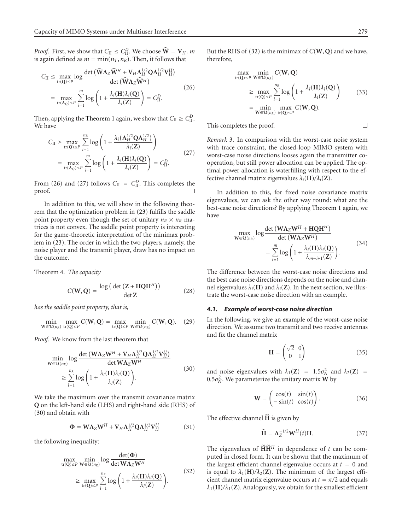*Proof.* First, we show that  $C_{II} \le C_{II}^D$ . We choose  $\widehat{W} = V_H$ . *m* is again defined as  $m = min(n<sub>T</sub>, n<sub>R</sub>)$ . Then, it follows that

$$
C_{II} \leq \max_{\text{tr}(\mathbf{Q}) \leq P} \log \frac{\det (\widehat{\mathbf{W}} \Lambda_Z \widehat{\mathbf{W}}^H + \mathbf{V}_H \Lambda_H^{1/2} \mathbf{Q} \Lambda_H^{1/2} \mathbf{V}_H^H)}{\det (\widehat{\mathbf{W}} \Lambda_Z \widehat{\mathbf{W}}^H)}
$$
  
= 
$$
\max_{\text{tr}(\Lambda_Q) \leq P} \sum_{i=1}^m \log \left( 1 + \frac{\lambda_i(\mathbf{H}) \lambda_i(\mathbf{Q})}{\lambda_i(\mathbf{Z})} \right) = C_{II}^D.
$$
 (26)

Then, applying the [Theorem 1](#page-3-2) again, we show that  $C_{\text{II}} \ge C_{\text{II}}^D$ . We have

$$
C_{\text{II}} \ge \max_{\text{tr}(\mathbf{Q}) \le P} \sum_{i=1}^{n_R} \log \left( 1 + \frac{\lambda_i (\Lambda_H^{1/2} \mathbf{Q} \Lambda_H^{1/2})}{\lambda_i(\mathbf{Z})} \right)
$$
  
= 
$$
\max_{\text{tr}(\Lambda_Q) \le P} \sum_{i=1}^m \log \left( 1 + \frac{\lambda_i(\mathbf{H}) \lambda_i(\mathbf{Q})}{\lambda_i(\mathbf{Z})} \right) = C_{\text{II}}^D.
$$
 (27)

From [\(26\)](#page-6-0) and [\(27\)](#page-6-1) follows  $C_{II} = C_{II}^D$ . This completes the proof.

In addition to this, we will show in the following theorem that the optimization problem in [\(23\)](#page-5-6) fulfills the saddle point property even though the set of unitary  $n_R \times n_R$  matrices is not convex. The saddle point property is interesting for the game-theoretic interpretation of the minimax problem in [\(23\)](#page-5-6). The order in which the two players, namely, the noise player and the transmit player, draw has no impact on the outcome.

Theorem 4. *The capacity*

$$
C(\mathbf{W}, \mathbf{Q}) = \frac{\log \left( \det \left( \mathbf{Z} + \mathbf{H} \mathbf{Q} \mathbf{H}^H \right) \right)}{\det \mathbf{Z}}
$$
 (28)

*has the saddle point property, that is,*

$$
\min_{\mathbf{W}\in\mathcal{U}(n_R)}\max_{\mathrm{tr}(\mathbf{Q})\leq P} C(\mathbf{W},\mathbf{Q}) = \max_{\mathrm{tr}(\mathbf{Q})\leq P}\min_{\mathbf{W}\in\mathcal{U}(n_R)} C(\mathbf{W},\mathbf{Q}).
$$
 (29)

*Proof.* We know from the last theorem that

$$
\min_{\mathbf{W} \in \mathcal{U}(n_R)} \log \frac{\det (\mathbf{W} \Lambda_Z \mathbf{W}^H + \mathbf{V}_H \Lambda_H^{1/2} \mathbf{Q} \Lambda_H^{1/2} \mathbf{V}_H^H)}{\det \mathbf{W} \Lambda_Z \mathbf{W}^H} \n\geq \sum_{l=1}^{n_R} \log \left( 1 + \frac{\lambda_l(\mathbf{H}) \lambda_l(\mathbf{Q})}{\lambda_l(\mathbf{Z})} \right).
$$
\n(30)

We take the maximum over the transmit covariance matrix **Q** on the left-hand side (LHS) and right-hand side (RHS) of [\(30\)](#page-6-2) and obtain with

$$
\Phi = W \Lambda_Z W^H + V_H \Lambda_H^{1/2} Q \Lambda_H^{1/2} V_H^H \tag{31}
$$

the following inequality:

$$
\max_{\text{tr}(\mathbf{Q}) \leq P} \min_{\mathbf{W} \in \mathcal{U}(n_R)} \log \frac{\det(\mathbf{\Phi})}{\det \mathbf{W} \Lambda_Z \mathbf{W}^H}
$$
\n
$$
\geq \max_{\text{tr}(\mathbf{Q}) \leq P} \sum_{l=1}^{n_R} \log \left( 1 + \frac{\lambda_l(\mathbf{H}) \lambda_l(\mathbf{Q})}{\lambda_l(\mathbf{Z})} \right). \tag{32}
$$

<span id="page-6-0"></span>But the RHS of [\(32\)](#page-6-3) is the minimax of *C*(**W**, **Q**) and we have, therefore,

$$
\max_{\text{tr}(\mathbf{Q}) \leq P} \min_{\mathbf{W} \in \mathcal{U}(n_R)} C(\mathbf{W}, \mathbf{Q})
$$
\n
$$
\geq \max_{\text{tr}(\mathbf{Q}) \leq P} \sum_{l=1}^{n_R} \log \left( 1 + \frac{\lambda_l(\mathbf{H}) \lambda_l(\mathbf{Q})}{\lambda_l(\mathbf{Z})} \right)
$$
\n
$$
= \min_{\mathbf{W} \in \mathcal{U}(n_R)} \max_{\text{tr}(\mathbf{Q}) \leq P} C(\mathbf{W}, \mathbf{Q}).
$$
\n(33)

This completes the proof.

<span id="page-6-1"></span>*Remark* 3. In comparison with the worst-case noise system with trace constraint, the closed-loop MIMO system with worst-case noise directions looses again the transmitter cooperation, but still power allocation can be applied. The optimal power allocation is waterfilling with respect to the effective channel matrix eigenvalues  $\lambda_i(\mathbf{H})/\lambda_i(\mathbf{Z})$ .

In addition to this, for fixed noise covariance matrix eigenvalues, we can ask the other way round: what are the best-case noise directions? By applying [Theorem 1](#page-3-2) again, we have

$$
\begin{aligned}\n\max_{\mathbf{W}\in\mathcal{U}(n_R)} \log \frac{\det (\mathbf{W}\Lambda_Z \mathbf{W}^H + \mathbf{H}\mathbf{Q}\mathbf{H}^H)}{\det (\mathbf{W}\Lambda_Z \mathbf{W}^H)} \\
&= \sum_{i=1}^m \log \left( 1 + \frac{\lambda_i(\mathbf{H})\lambda_i(\mathbf{Q})}{\lambda_{m-i+1}(\mathbf{Z})} \right).\n\end{aligned} \tag{34}
$$

The difference between the worst-case noise directions and the best case noise directions depends on the noise and channel eigenvalues  $\lambda_i(\mathbf{H})$  and  $\lambda_i(\mathbf{Z})$ . In the next section, we illustrate the worst-case noise direction with an example.

# *4.1. Example of worst-case noise direction*

In the following, we give an example of the worst-case noise direction. We assume two transmit and two receive antennas and fix the channel matrix

$$
\mathbf{H} = \begin{pmatrix} \sqrt{2} & 0 \\ 0 & 1 \end{pmatrix} \tag{35}
$$

<span id="page-6-2"></span>and noise eigenvalues with  $\lambda_1(Z) = 1.5\sigma_N^2$  and  $\lambda_2(Z) = 1.5\sigma_N^2$ 0.5 $\sigma_N^2$ . We parameterize the unitary matrix **W** by

$$
\mathbf{W} = \begin{pmatrix} \cos(t) & \sin(t) \\ -\sin(t) & \cos(t) \end{pmatrix}.
$$
 (36)

The effective channel **H** is given by

$$
\widetilde{\mathbf{H}} = \mathbf{\Lambda}_Z^{-1/2} \mathbf{W}^H(t) \mathbf{H}.
$$
 (37)

<span id="page-6-3"></span>The eigenvalues of  $\widetilde{H} \widetilde{H}^H$  in dependence of *t* can be computed in closed form. It can be shown that the maximum of the largest efficient channel eigenvalue occurs at  $t = 0$  and is equal to  $\lambda_1(\mathbf{H})/\lambda_2(\mathbf{Z})$ . The minimum of the largest efficient channel matrix eigenvalue occurs at  $t = \pi/2$  and equals  $\lambda_1(\mathbf{H})/\lambda_1(\mathbf{Z})$ . Analogously, we obtain for the smallest efficient

 $\Box$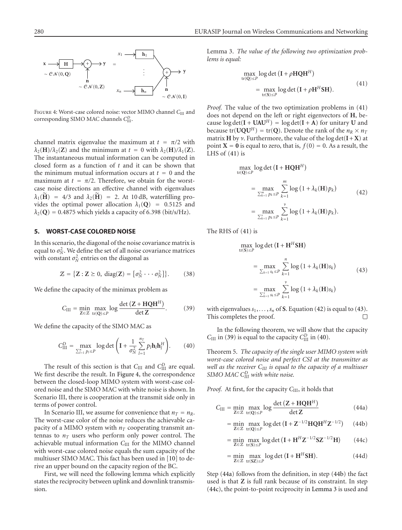

<span id="page-7-1"></span>FIGURE 4: Worst-case colored noise: vector MIMO channel C<sub>III</sub> and corresponding SIMO MAC channels  $C_{III}^D$ .

channel matrix eigenvalue the maximum at  $t = \pi/2$  with  $\lambda_2(\mathbf{H})/\lambda_2(\mathbf{Z})$  and the minimum at  $t = 0$  with  $\lambda_2(\mathbf{H})/\lambda_1(\mathbf{Z})$ . The instantaneous mutual information can be computed in closed form as a function of *t* and it can be shown that the minimum mutual information occurs at  $t = 0$  and the maximum at  $t = \pi/2$ . Therefore, we obtain for the worstcase noise directions an effective channel with eigenvalues  $\lambda_1(\tilde{\mathbf{H}}) = 4/3$  and  $\lambda_2(\tilde{\mathbf{H}}) = 2$ . At 10 dB, waterfilling provides the optimal power allocation  $\lambda_1(Q) = 0.5125$  and  $\lambda_2(Q) = 0.4875$  which yields a capacity of 6.398 (bit/s/Hz).

#### <span id="page-7-0"></span>**5. WORST-CASE COLORED NOISE**

In this scenario, the diagonal of the noise covariance matrix is equal to  $\sigma_N^2$ . We define the set of all noise covariance matrices with constant  $\sigma_N^2$  entries on the diagonal as

$$
\mathcal{Z} = \{ \mathbf{Z} : \mathbf{Z} \succeq 0, \text{ diag}(\mathbf{Z}) = [\sigma_N^2 \cdots \sigma_N^2] \}.
$$
 (38)

We define the capacity of the minimax problem as

<span id="page-7-6"></span><span id="page-7-5"></span>
$$
C_{\text{III}} = \min_{\mathbf{Z} \in \mathcal{Z}} \max_{\text{tr}(\mathbf{Q}) \le P} \log \frac{\det \left(\mathbf{Z} + \mathbf{H} \mathbf{Q} \mathbf{H}^H\right)}{\det \mathbf{Z}}.
$$
 (39)

We define the capacity of the SIMO MAC as

$$
C_{\text{III}}^D = \max_{\sum_{l=1}^n p_l \le P} \log \det \left( \mathbf{I} + \frac{1}{\sigma_N^2} \sum_{l=1}^{n_T} p_l \mathbf{h}_l \mathbf{h}_l^H \right). \tag{40}
$$

The result of this section is that  $C_{\text{III}}$  and  $C_{\text{III}}^D$  are equal. We first describe the result. In [Figure 4,](#page-7-1) the correspondence between the closed-loop MIMO system with worst-case colored noise and the SIMO MAC with white noise is shown. In Scenario III, there is cooperation at the transmit side only in terms of power control.

In Scenario III, we assume for convenience that  $n_T = n_R$ . The worst-case color of the noise reduces the achievable capacity of a MIMO system with  $n_T$  cooperating transmit antennas to  $n<sub>T</sub>$  users who perform only power control. The achievable mutual information *C*III for the MIMO channel with worst-case colored noise equals the sum capacity of the multiuser SIMO MAC. This fact has been used in [\[10\]](#page-11-9) to derive an upper bound on the capacity region of the BC.

<span id="page-7-10"></span>First, we will need the following lemma which explicitly states the reciprocity between uplink and downlink transmission.

<span id="page-7-2"></span>Lemma 3. *The value of the following two optimization problems is equal:*

$$
\max_{\text{tr}(Q) \le P} \log \det (\mathbf{I} + \rho \mathbf{H} \mathbf{Q} \mathbf{H}^H)
$$
  
= 
$$
\max_{\text{tr}(S) \le P} \log \det (\mathbf{I} + \rho \mathbf{H}^H \mathbf{S} \mathbf{H}).
$$
 (41)

<span id="page-7-3"></span>*Proof.* The value of the two optimization problems in [\(41\)](#page-7-2) does not depend on the left or right eigenvectors of **H**, because  $\log \det(\mathbf{I} + \mathbf{U}\mathbf{A}\mathbf{U}^H) = \log \det(\mathbf{I} + \mathbf{A})$  for unitary **U** and because tr(**UQU<sup>***H***</sup>) = tr(<b>Q**). Denote the rank of the  $n_R \times n_T$ matrix **H** by *ν*. Furthermore, the value of the log det(**I**+**X**) at point **X** = **0** is equal to zero, that is,  $f(0) = 0$ . As a result, the LHS of [\(41\)](#page-7-2) is

$$
\max_{\text{tr}(\mathbf{Q}) \leq P} \log \det (\mathbf{I} + \mathbf{H}\mathbf{Q}\mathbf{H}^H)
$$
\n
$$
= \max_{\sum_{k=1}^m p_k \leq P} \sum_{k=1}^m \log (1 + \lambda_k(\mathbf{H}) p_k)
$$
\n
$$
= \max_{\sum_{k=1}^n p_k \leq P} \sum_{k=1}^{\gamma} \log (1 + \lambda_k(\mathbf{H}) p_k).
$$
\n(42)

<span id="page-7-4"></span>The RHS of [\(41\)](#page-7-2) is

$$
\max_{\text{tr}(S) \leq P} \log \det (\mathbf{I} + \mathbf{H}^H \mathbf{S} \mathbf{H})
$$
\n
$$
= \max_{\sum_{k=1}^k s_k \leq P} \sum_{k=1}^n \log (1 + \lambda_k(\mathbf{H}) s_k)
$$
\n
$$
= \max_{\sum_{k=1}^k s_k \leq P} \sum_{k=1}^{\nu} \log (1 + \lambda_k(\mathbf{H}) s_k)
$$
\n(43)

with eigenvalues  $s_1, \ldots, s_n$  of **S**. Equation [\(42\)](#page-7-3) is equal to [\(43\)](#page-7-4). This completes the proof. П

<span id="page-7-12"></span>In the following theorem, we will show that the capacity  $C_{\text{III}}$  in [\(39\)](#page-7-5) is equal to the capacity  $C_{\text{III}}^D$  in [\(40\)](#page-7-6).

Theorem 5. *The capacity of the single user MIMO system with worst-case colored noise and perfect CSI at the transmitter as well as the receiver CIII is equal to the capacity of a multiuser*  $SIMO$   $MAC$   $C_{III}^D$  with white noise.

*Proof.* At first, for the capacity *C*III, it holds that

$$
C_{\text{III}} = \min_{\mathbf{Z} \in \mathcal{Z}} \max_{\text{tr}(\mathbf{Q}) \le P} \log \frac{\det (\mathbf{Z} + \mathbf{H}\mathbf{Q}\mathbf{H}^H)}{\det \mathbf{Z}}
$$
(44a)

<span id="page-7-9"></span><span id="page-7-8"></span><span id="page-7-7"></span>
$$
= \min_{\mathbf{Z} \in \mathcal{Z}} \max_{\mathrm{tr}(\mathbf{Q}) \leq P} \log \det \left( \mathbf{I} + \mathbf{Z}^{-1/2} \mathbf{H} \mathbf{Q} \mathbf{H}^H \mathbf{Z}^{-1/2} \right) \tag{44b}
$$

<span id="page-7-11"></span>
$$
= \min_{\mathbf{Z} \in \mathcal{Z}} \max_{\mathbf{tr}(\mathbf{S}) \le P} \log \det \left( \mathbf{I} + \mathbf{H}^H \mathbf{Z}^{-1/2} \mathbf{S} \mathbf{Z}^{-1/2} \mathbf{H} \right) \tag{44c}
$$

$$
= \min_{\mathbf{Z} \in \mathcal{Z}} \max_{\mathbf{tr}(\mathbf{SZ}) \leq P} \log \det \left( \mathbf{I} + \mathbf{H}^H \mathbf{S} \mathbf{H} \right). \tag{44d}
$$

Step [\(44a\)](#page-7-7) follows from the definition, in step [\(44b\)](#page-7-8) the fact used is that **Z** is full rank because of its constraint. In step [\(44c\)](#page-7-9), the point-to-point reciprocity in [Lemma 3](#page-7-10) is used and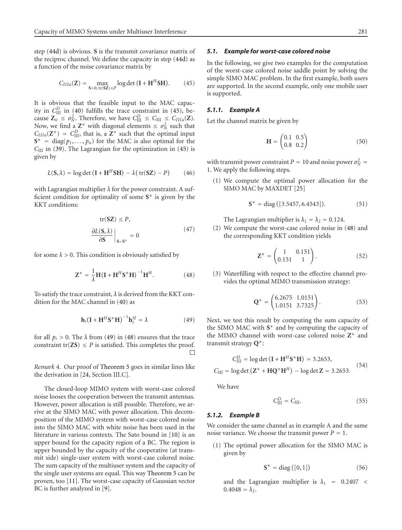step [\(44d\)](#page-7-11) is obvious. **S** is the transmit covariance matrix of the reciproc channel. We define the capacity in step [\(44d\)](#page-7-11) as a function of the noise covariance matrix by

<span id="page-8-0"></span>
$$
C_{IIIa}(\mathbf{Z}) = \max_{\mathbf{S} > 0, \, \text{tr}(\mathbf{S}\mathbf{Z}) \leq P} \log \det \left( \mathbf{I} + \mathbf{H}^H \mathbf{S} \mathbf{H} \right). \tag{45}
$$

It is obvious that the feasible input to the MAC capacity in  $C_{\text{III}}^D$  in [\(40\)](#page-7-6) fulfills the trace constraint in [\(45\)](#page-8-0), because  $\mathbf{Z}_{ii}^{\text{in}} \leq \sigma_N^2$ . Therefore, we have  $C_{\text{III}}^D \leq C_{\text{III}} \leq C_{\text{III}} a(\mathbf{Z})$ . Now, we find a  $\mathbf{Z}^*$  with diagonal elements  $\leq \sigma_N^2$  such that  $C_{IIIa}(\mathbf{Z}^*) = C_{III}^D$ , that is, a  $\mathbf{Z}^*$  such that the optimal input  $S^*$  = diag( $p_1, \ldots, p_n$ ) for the MAC is also optimal for the *C*III in [\(39\)](#page-7-5). The Lagrangian for the optimization in [\(45\)](#page-8-0) is given by

$$
L(S, \lambda) = \log \det (\mathbf{I} + \mathbf{H}^{H} \mathbf{S} \mathbf{H}) - \lambda (\operatorname{tr}(\mathbf{S} \mathbf{Z}) - P) \tag{46}
$$

with Lagrangian multiplier  $\lambda$  for the power constraint. A sufficient condition for optimality of some **S**<sup>∗</sup> is given by the KKT conditions:

<span id="page-8-2"></span>
$$
\text{tr}(\text{SZ}) \le P, \n\frac{\partial L(\text{S}, \lambda)}{\partial \text{S}} \Big|_{\text{S=S}^*} = 0
$$
\n(47)

for some  $\lambda > 0$ . This condition is obviously satisfied by

$$
\mathbf{Z}^* = \frac{1}{\lambda} \mathbf{H} (\mathbf{I} + \mathbf{H}^H \mathbf{S}^* \mathbf{H})^{-1} \mathbf{H}^H.
$$
 (48)

To satisfy the trace constraint, *λ* is derived from the KKT condition for the MAC channel in [\(40\)](#page-7-6) as

<span id="page-8-1"></span>
$$
\mathbf{h}_{i}(\mathbf{I} + \mathbf{H}^{H}\mathbf{S}^{*}\mathbf{H})^{-1}\mathbf{h}_{i}^{H} = \lambda
$$
 (49)

for all  $p_i > 0$ . The  $\lambda$  from [\(49\)](#page-8-1) in [\(48\)](#page-8-2) ensures that the trace constraint tr(**ZS**)  $\leq$  *P* is satisfied. This completes the proof.

*Remark* 4. Our proof of [Theorem 5](#page-7-12) goes in similar lines like the derivation in [\[24,](#page-12-11) Section III.C].

The closed-loop MIMO system with worst-case colored noise looses the cooperation between the transmit antennas. However, power allocation is still possible. Therefore, we arrive at the SIMO MAC with power allocation. This decomposition of the MIMO system with worst-case colored noise into the SIMO MAC with white noise has been used in the literature in various contexts. The Sato bound in [\[10](#page-11-9)] is an upper bound for the capacity region of a BC. The region is upper bounded by the capacity of the cooperative (at transmit side) single-user system with worst-case colored noise. The sum capacity of the multiuser system and the capacity of the single user systems are equal. This way [Theorem 5](#page-7-12) can be proven, too [\[11](#page-11-10)]. The worst-case capacity of Gaussian vector BC is further analyzed in [\[9](#page-11-8)].

#### *5.1. Example for worst-case colored noise*

In the following, we give two examples for the computation of the worst-case colored noise saddle point by solving the simple SIMO MAC problem. In the first example, both users are supported. In the second example, only one mobile user is supported.

# *5.1.1. Example A*

Let the channel matrix be given by

$$
\mathbf{H} = \begin{pmatrix} 0.1 & 0.5 \\ 0.8 & 0.2 \end{pmatrix} \tag{50}
$$

with transmit power constraint  $P = 10$  and noise power  $\sigma_N^2 =$ 1. We apply the following steps.

(1) We compute the optimal power allocation for the SIMO MAC by MAXDET [\[25](#page-12-12)]

$$
\mathbf{S}^* = \text{diag}\left( [3.5457, 6.4543] \right). \tag{51}
$$

The Lagrangian multiplier is  $\lambda_1 = \lambda_2 = 0.124$ .

(2) We compute the worst-case colored noise in [\(48\)](#page-8-2) and the corresponding KKT condition yields

$$
\mathbf{Z}^* = \begin{pmatrix} 1 & 0.151 \\ 0.151 & 1 \end{pmatrix} . \tag{52}
$$

(3) Waterfilling with respect to the effective channel provides the optimal MIMO transmission strategy:

$$
\mathbf{Q}^* = \begin{pmatrix} 6.2675 & 1.0151 \\ 1.0151 & 3.7325 \end{pmatrix} . \tag{53}
$$

Next, we test this result by computing the sum capacity of the SIMO MAC with **S**<sup>∗</sup> and by computing the capacity of the MIMO channel with worst-case colored noise **Z**<sup>∗</sup> and transmit strategy **Q**∗:

$$
C_{\text{III}}^D = \log \det (\mathbf{I} + \mathbf{H}^H \mathbf{S}^* \mathbf{H}) = 3.2653,
$$
  

$$
C_{\text{III}} = \log \det (\mathbf{Z}^* + \mathbf{H} \mathbf{Q}^* \mathbf{H}^H) - \log \det \mathbf{Z} = 3.2653.
$$
 (54)

We have

$$
C_{\text{III}}^D = C_{\text{III}}.\tag{55}
$$

## *5.1.2. Example B*

We consider the same channel as in example A and the same noise variance. We choose the transmit power  $P = 1$ .

(1) The optimal power allocation for the SIMO MAC is given by

$$
\mathbf{S}^* = \text{diag}\left( [0, 1] \right) \tag{56}
$$

and the Lagrangian multiplier is  $\lambda_1$  = 0.2407 <  $0.4048 = \lambda_2$ .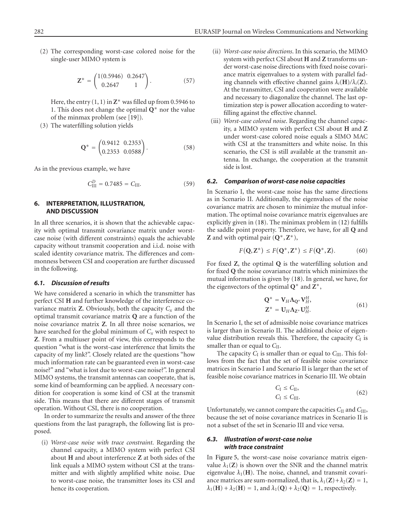(2) The corresponding worst-case colored noise for the single-user MIMO system is

$$
\mathbf{Z}^* = \begin{pmatrix} 1(0.5946) & 0.2647 \\ 0.2647 & 1 \end{pmatrix} . \tag{57}
$$

Here, the entry  $(1, 1)$  in  $\mathbb{Z}^*$  was filled up from 0.5946 to 1. This does not change the optimal **Q**<sup>∗</sup> nor the value of the minmax problem (see [\[19](#page-12-6)]).

(3) The waterfilling solution yields

$$
\mathbf{Q}^* = \begin{pmatrix} 0.9412 & 0.2353 \\ 0.2353 & 0.0588 \end{pmatrix} . \tag{58}
$$

As in the previous example, we have

$$
C_{\text{III}}^D = 0.7485 = C_{\text{III}}.\tag{59}
$$

# <span id="page-9-0"></span>**6. INTERPRETATION, ILLUSTRATION, AND DISCUSSION**

In all three scenarios, it is shown that the achievable capacity with optimal transmit covariance matrix under worstcase noise (with different constraints) equals the achievable capacity without transmit cooperation and i.i.d. noise with scaled identity covariance matrix. The differences and commonness between CSI and cooperation are further discussed in the following.

# *6.1. Discussion of results*

We have considered a scenario in which the transmitter has perfect CSI **H** and further knowledge of the interference covariance matrix **Z**. Obviously, both the capacity  $C_x$  and the optimal transmit covariance matrix **Q** are a function of the noise covariance matrix **Z**. In all three noise scenarios, we have searched for the global minimum of  $C_x$  with respect to **Z**. From a multiuser point of view, this corresponds to the question "what is the worst-case interference that limits the capacity of my link?". Closely related are the questions "how much information rate can be guaranteed even in worst-case noise?" and "what is lost due to worst-case noise?". In general MIMO systems, the transmit antennas can cooperate, that is, some kind of beamforming can be applied. A necessary condition for cooperation is some kind of CSI at the transmit side. This means that there are different stages of transmit operation. Without CSI, there is no cooperation.

In order to summarize the results and answer of the three questions from the last paragraph, the following list is proposed.

(i) *Worst-case noise with trace constraint*. Regarding the channel capacity, a MIMO system with perfect CSI about **H** and about interference **Z** at both sides of the link equals a MIMO system without CSI at the transmitter and with slightly amplified white noise. Due to worst-case noise, the transmitter loses its CSI and hence its cooperation.

- (ii) *Worst-case noise directions*. In this scenario, the MIMO system with perfect CSI about **H** and **Z** transforms under worst-case noise directions with fixed noise covariance matrix eigenvalues to a system with parallel fading channels with effective channel gains  $\lambda_i(\mathbf{H})/\lambda_i(\mathbf{Z})$ . At the transmitter, CSI and cooperation were available and necessary to diagonalize the channel. The last optimization step is power allocation according to waterfilling against the effective channel.
- (iii) *Worst-case colored noise*. Regarding the channel capacity, a MIMO system with perfect CSI about **H** and **Z** under worst-case colored noise equals a SIMO MAC with CSI at the transmitters and white noise. In this scenario, the CSI is still available at the transmit antenna. In exchange, the cooperation at the transmit side is lost.

#### *6.2. Comparison of worst-case noise capacities*

In Scenario I, the worst-case noise has the same directions as in Scenario II. Additionally, the eigenvalues of the noise covariance matrix are chosen to minimize the mutual information. The optimal noise covariance matrix eigenvalues are explicitly given in [\(18\)](#page-5-2). The minimax problem in [\(12\)](#page-4-2) fulfills the saddle point property. Therefore, we have, for all **Q** and **Z** and with optimal pair (**Q**∗,**Z**∗),

$$
F(\mathbf{Q}, \mathbf{Z}^*) \le F(\mathbf{Q}^*, \mathbf{Z}^*) \le F(\mathbf{Q}^*, \mathbf{Z}).\tag{60}
$$

For fixed **Z**, the optimal **Q** is the waterfilling solution and for fixed **Q** the noise covariance matrix which minimizes the mutual information is given by [\(18\)](#page-5-2). In general, we have, for the eigenvectors of the optimal **Q**<sup>∗</sup> and **Z**∗,

$$
\mathbf{Q}^* = \mathbf{V}_H \mathbf{\Lambda}_{\mathbf{Q}^*} \mathbf{V}_H^H,
$$
  

$$
\mathbf{Z}^* = \mathbf{U}_H \mathbf{\Lambda}_{\mathbf{Z}^*} \mathbf{U}_H^H.
$$
 (61)

In Scenario I, the set of admissible noise covariance matrices is larger than in Scenario II. The additional choice of eigenvalue distribution reveals this. Therefore, the capacity  $C_I$  is smaller than or equal to *C*<sub>II</sub>.

The capacity  $C_I$  is smaller than or equal to  $C_{III}$ . This follows from the fact that the set of feasible noise covariance matrices in Scenario I and Scenario II is larger than the set of feasible noise covariance matrices in Scenario III. We obtain

$$
C_{\rm I} \le C_{\rm II},
$$
  
\n
$$
C_{\rm I} \le C_{\rm III}.
$$
\n(62)

Unfortunately, we cannot compare the capacities *C*II and *C*III, because the set of noise covariance matrices in Scenario II is not a subset of the set in Scenario III and vice versa.

# <span id="page-9-1"></span>*6.3. Illustration of worst-case noise with trace constraint*

In [Figure 5,](#page-10-2) the worst-case noise covariance matrix eigenvalue  $\lambda_1(\mathbf{Z})$  is shown over the SNR and the channel matrix eigenvalue  $\lambda_1(\mathbf{H})$ . The noise, channel, and transmit covariance matrices are sum-normalized, that is,  $\lambda_1(\mathbf{Z}) + \lambda_2(\mathbf{Z}) = 1$ ,  $\lambda_1(\mathbf{H}) + \lambda_2(\mathbf{H}) = 1$ , and  $\lambda_1(\mathbf{Q}) + \lambda_2(\mathbf{Q}) = 1$ , respectively.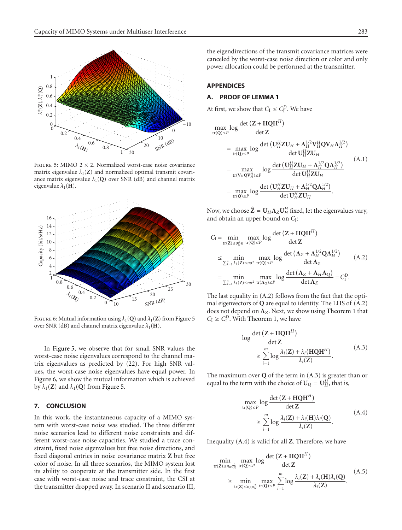

<span id="page-10-2"></span>FIGURE 5: MIMO  $2 \times 2$ . Normalized worst-case noise covariance matrix eigenvalue  $\lambda_1(Z)$  and normalized optimal transmit covariance matrix eigenvalue  $\lambda_1(Q)$  over SNR (dB) and channel matrix eigenvalue  $\lambda_1(\mathbf{H})$ .



<span id="page-10-3"></span>FIGURE 6: Mutual information using  $\lambda_1(Q)$  and  $\lambda_1(Z)$  from [Figure 5](#page-10-2) over SNR (dB) and channel matrix eigenvalue  $\lambda_1(\mathbf{H})$ .

In [Figure 5,](#page-10-2) we observe that for small SNR values the worst-case noise eigenvalues correspond to the channel matrix eigenvalues as predicted by [\(22\)](#page-5-7). For high SNR values, the worst-case noise eigenvalues have equal power. In [Figure 6,](#page-10-3) we show the mutual information which is achieved by  $\lambda_1(Z)$  and  $\lambda_1(Q)$  from [Figure 5.](#page-10-2)

# <span id="page-10-0"></span>**7. CONCLUSION**

In this work, the instantaneous capacity of a MIMO system with worst-case noise was studied. The three different noise scenarios lead to different noise constraints and different worst-case noise capacities. We studied a trace constraint, fixed noise eigenvalues but free noise directions, and fixed diagonal entries in noise covariance matrix **Z** but free color of noise. In all three scenarios, the MIMO system lost its ability to cooperate at the transmitter side. In the first case with worst-case noise and trace constraint, the CSI at the transmitter dropped away. In scenario II and scenario III, the eigendirections of the transmit covariance matrices were canceled by the worst-case noise direction or color and only power allocation could be performed at the transmitter.

# <span id="page-10-1"></span>**APPENDICES**

# **A. PROOF OF LEMMA [1](#page-4-6)**

At first, we show that  $C_I \leq C_I^D$ . We have

$$
\max_{\text{tr}(Q) \leq P} \log \frac{\det (Z + \text{HQH}^H)}{\det Z} \n= \max_{\text{tr}(Q) \leq P} \log \frac{\det (U_H^H Z U_H + \Lambda_H^{1/2} V_H^H Q V_H \Lambda_H^{1/2})}{\det U_H^H Z U_H} \n= \max_{\text{tr}(V_H Q V_H^H) \leq P} \log \frac{\det (U_H^H Z U_H + \Lambda_H^{1/2} Q \Lambda_H^{1/2})}{\det U_H^H Z U_H} \n= \max_{\text{tr}(Q) \leq P} \log \frac{\det (U_H^H Z U_H + \Lambda_H^{1/2} Q \Lambda_H^{1/2})}{\det U_H^H Z U_H}.
$$
\n(A.1)

Now, we choose  $\hat{\mathbf{Z}} = \mathbf{U}_H \mathbf{\Lambda}_Z \mathbf{U}_H^H$  fixed, let the eigenvalues vary, and obtain an upper bound on *C*I:

<span id="page-10-4"></span>
$$
C_{I} = \min_{\text{tr}(\mathbf{Z}) \leq \sigma_{N}^{2} n} \max_{\text{tr}(\mathbf{Q}) \leq P} \log \frac{\det (\mathbf{Z} + \mathbf{H}\mathbf{Q}\mathbf{H}^{H})}{\det \mathbf{Z}}
$$
  
\n
$$
\leq \min_{\sum_{k=1}^{n} \lambda_{k}(\mathbf{Z}) \leq n\sigma^{2}} \max_{\text{tr}(\mathbf{Q}) \leq P} \log \frac{\det (\mathbf{\Lambda}_{Z} + \mathbf{\Lambda}_{H}^{1/2} \mathbf{Q}\mathbf{\Lambda}_{H}^{1/2})}{\det \mathbf{\Lambda}_{Z}} \quad (A.2)
$$
  
\n
$$
= \min_{\sum_{k=1}^{n} \lambda_{k}(\mathbf{Z}) \leq n\sigma^{2}} \max_{\text{tr}(\mathbf{\Lambda}_{Q}) \leq P} \log \frac{\det (\mathbf{\Lambda}_{Z} + \mathbf{\Lambda}_{H} \mathbf{\Lambda}_{Q})}{\det \mathbf{\Lambda}_{Z}} = C_{I}^{D}.
$$

The last equality in [\(A.2\)](#page-10-4) follows from the fact that the optimal eigenvectors of **Q** are equal to identity. The LHS of [\(A.2\)](#page-10-4) does not depend on **Λ***Z*. Next, we show using [Theorem 1](#page-3-2) that  $C_I \geq C_I^D$ . With [Theorem 1,](#page-3-2) we have

<span id="page-10-5"></span>
$$
\log \frac{\det (\mathbf{Z} + \mathbf{H}\mathbf{Q}\mathbf{H}^{H})}{\det \mathbf{Z}} \n\geq \sum_{i=1}^{m} \log \frac{\lambda_{i}(\mathbf{Z}) + \lambda_{i}(\mathbf{H}\mathbf{Q}\mathbf{H}^{H})}{\lambda_{i}(\mathbf{Z})}.
$$
\n(A.3)

The maximum over **Q** of the term in [\(A.3\)](#page-10-5) is greater than or equal to the term with the choice of  $U_Q = U_H^H$ , that is,

<span id="page-10-7"></span><span id="page-10-6"></span>
$$
\max_{\text{tr}(Q) \leq P} \log \frac{\det (Z + HQH^H)}{\det Z} \n\geq \sum_{i=1}^{m} \log \frac{\lambda_i(Z) + \lambda_i(H)\lambda_i(Q)}{\lambda_i(Z)}.
$$
\n(A.4)

Inequality [\(A.4\)](#page-10-6) is valid for all **Z**. Therefore, we have

$$
\min_{\text{tr}(\mathbf{Z}) \le n_R \sigma_N^2} \max_{\text{tr}(\mathbf{Q}) \le P} \log \frac{\det (\mathbf{Z} + \mathbf{H}\mathbf{Q}\mathbf{H}^H)}{\det \mathbf{Z}} \n\ge \min_{\text{tr}(\mathbf{Z}) \le n_R \sigma_N^2} \max_{\text{tr}(\mathbf{Q}) \le P} \sum_{i=1}^m \log \frac{\lambda_i(\mathbf{Z}) + \lambda_i(\mathbf{H})\lambda_i(\mathbf{Q})}{\lambda_i(\mathbf{Z})}.
$$
\n(A.5)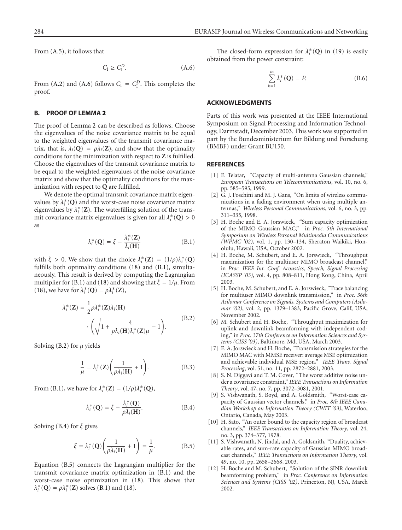<span id="page-11-13"></span>From [\(A.5\)](#page-10-7), it follows that

$$
C_{\rm I} \ge C_{\rm I}^D. \tag{A.6}
$$

From [\(A.2\)](#page-10-4) and [\(A.6\)](#page-11-13) follows  $C_I = C_I^D$ . This completes the proof.

## <span id="page-11-12"></span>**B. PROOF OF LEMMA [2](#page-5-1)**

The proof of [Lemma 2](#page-5-1) can be described as follows. Choose the eigenvalues of the noise covariance matrix to be equal to the weighted eigenvalues of the transmit covariance matrix, that is,  $\lambda_i(Q) = \rho \lambda_i(Z)$ , and show that the optimality conditions for the minimization with respect to **Z** is fulfilled. Choose the eigenvalues of the transmit covariance matrix to be equal to the weighted eigenvalues of the noise covariance matrix and show that the optimality conditions for the maximization with respect to **Q** are fulfilled.

We denote the optimal transmit covariance matrix eigenvalues by  $\lambda_i^*(\mathbf{Q})$  and the worst-case noise covariance matrix eigenvalues by  $\lambda_i^*(\mathbf{Z})$ . The waterfilling solution of the transmit covariance matrix eigenvalues is given for all  $\lambda_i^*(\mathbf{Q}) > 0$ as

<span id="page-11-14"></span>
$$
\lambda_i^*(\mathbf{Q}) = \xi - \frac{\lambda_i^*(\mathbf{Z})}{\lambda_i(\mathbf{H})}
$$
 (B.1)

with  $\xi > 0$ . We show that the choice  $\lambda_i^*(\mathbf{Z}) = (1/\rho)\lambda_i^*(\mathbf{Q})$ fulfills both optimality conditions [\(18\)](#page-5-2) and [\(B.1\)](#page-11-14), simultaneously. This result is derived by computing the Lagrangian multiplier for [\(B.1\)](#page-11-14) and [\(18\)](#page-5-2) and showing that  $\xi = 1/\mu$ . From [\(18\)](#page-5-2), we have for  $\lambda_i^*(\mathbf{Q}) = \rho \lambda_i^*(\mathbf{Z})$ ,

<span id="page-11-15"></span>
$$
\lambda_i^*(\mathbf{Z}) = \frac{1}{2} \rho \lambda_i^*(\mathbf{Z}) \lambda_i(\mathbf{H})
$$

$$
\cdot \left( \sqrt{1 + \frac{4}{\rho \lambda_i(\mathbf{H}) \lambda_i^*(\mathbf{Z}) \mu}} - 1 \right). \tag{B.2}
$$

Solving  $(B.2)$  for  $\mu$  yields

$$
\frac{1}{\mu} = \lambda_i^*(\mathbf{Z}) \left( \frac{1}{\rho \lambda_i(\mathbf{H})} + 1 \right). \tag{B.3}
$$

From [\(B.1\)](#page-11-14), we have for  $\lambda_i^*(\mathbf{Z}) = (1/\rho)\lambda_i^*(\mathbf{Q})$ ,

<span id="page-11-17"></span><span id="page-11-16"></span>
$$
\lambda_i^*(\mathbf{Q}) = \xi - \frac{\lambda_i^*(\mathbf{Q})}{\rho \lambda_i(\mathbf{H})}.
$$
 (B.4)

Solving [\(B.4\)](#page-11-16) for *ξ* gives

$$
\xi = \lambda_i^*(\mathbf{Q}) \left( \frac{1}{\rho \lambda_i(\mathbf{H})} + 1 \right) = \frac{1}{\mu}.
$$
 (B.5)

Equation [\(B.5\)](#page-11-17) connects the Lagrangian multiplier for the transmit covariance matrix optimization in [\(B.1\)](#page-11-14) and the worst-case noise optimization in [\(18\)](#page-5-2). This shows that  $\lambda_i^* (Q) = \rho \lambda_i^* (Z)$  solves [\(B.1\)](#page-11-14) and [\(18\)](#page-5-2).

The closed-form expression for  $\lambda_i^*(\mathbf{Q})$  in [\(19\)](#page-5-3) is easily obtained from the power constraint:

$$
\sum_{k=1}^{m} \lambda_i^*(\mathbf{Q}) = P.
$$
 (B.6)

#### **ACKNOWLEDGMENTS**

Parts of this work was presented at the IEEE International Symposium on Signal Processing and Information Technology, Darmstadt, December 2003. This work was supported in part by the Bundesministerium für Bildung und Forschung (BMBF) under Grant BU150.

#### <span id="page-11-0"></span>**REFERENCES**

- [1] E. Telatar, "Capacity of multi-antenna Gaussian channels," *European Transactions on Telecommunications*, vol. 10, no. 6, pp. 585–595, 1999.
- <span id="page-11-1"></span>[2] G. J. Foschini and M. J. Gans, "On limits of wireless communications in a fading environment when using multiple antennas," *Wireless Personal Communications*, vol. 6, no. 3, pp. 311–335, 1998.
- <span id="page-11-2"></span>[3] H. Boche and E. A. Jorswieck, "Sum capacity optimization of the MIMO Gaussian MAC," in *Proc. 5th International Symposium on Wireless Personal Multimedia Communications (WPMC '02)*, vol. 1, pp. 130–134, Sheraton Waikiki, Honolulu, Hawaii, USA, October 2002.
- <span id="page-11-3"></span>[4] H. Boche, M. Schubert, and E. A. Jorswieck, "Throughput maximization for the multiuser MIMO broadcast channel," in *Proc. IEEE Int. Conf. Acoustics, Speech, Signal Processing (ICASSP '03)*, vol. 4, pp. 808–811, Hong Kong, China, April 2003.
- <span id="page-11-4"></span>[5] H. Boche, M. Schubert, and E. A. Jorswieck, "Trace balancing for multiuser MIMO downlink transmission," in *Proc. 36th Asilomar Conference on Signals, Systems and Computers (Asilomar '02)*, vol. 2, pp. 1379–1383, Pacific Grove, Calif, USA, November 2002.
- <span id="page-11-5"></span>[6] M. Schubert and H. Boche, "Throughput maximization for uplink and downlink beamforming with independent coding," in *Proc. 37th Conference on Information Sciences and Systems (CISS '03)*, Baltimore, Md, USA, March 2003.
- <span id="page-11-6"></span>[7] E. A. Jorswieck and H. Boche, "Transmission strategies for the MIMO MAC with MMSE receiver: average MSE optimization and achievable individual MSE region," *IEEE Trans. Signal Processing*, vol. 51, no. 11, pp. 2872–2881, 2003.
- <span id="page-11-7"></span>[8] S. N. Diggavi and T. M. Cover, "The worst additive noise under a covariance constraint," *IEEE Transactions on Information Theory*, vol. 47, no. 7, pp. 3072–3081, 2001.
- <span id="page-11-8"></span>[9] S. Vishwanath, S. Boyd, and A. Goldsmith, "Worst-case capacity of Gaussian vector channels," in *Proc. 8th IEEE Canadian Workshop on Information Theory (CWIT '03)*, Waterloo, Ontario, Canada, May 2003.
- <span id="page-11-9"></span>[10] H. Sato, "An outer bound to the capacity region of broadcast" channels," *IEEE Transactions on Information Theory*, vol. 24, no. 3, pp. 374–377, 1978.
- <span id="page-11-10"></span>[11] S. Vishwanath, N. Jindal, and A. Goldsmith, "Duality, achievable rates, and sum-rate capacity of Gaussian MIMO broadcast channels," *IEEE Transactions on Information Theory*, vol. 49, no. 10, pp. 2658–2668, 2003.
- <span id="page-11-11"></span>[12] H. Boche and M. Schubert, "Solution of the SINR downlink beamforming problem," in *Proc. Conference on Information Sciences and Systems (CISS '02)*, Princeton, NJ, USA, March 2002.